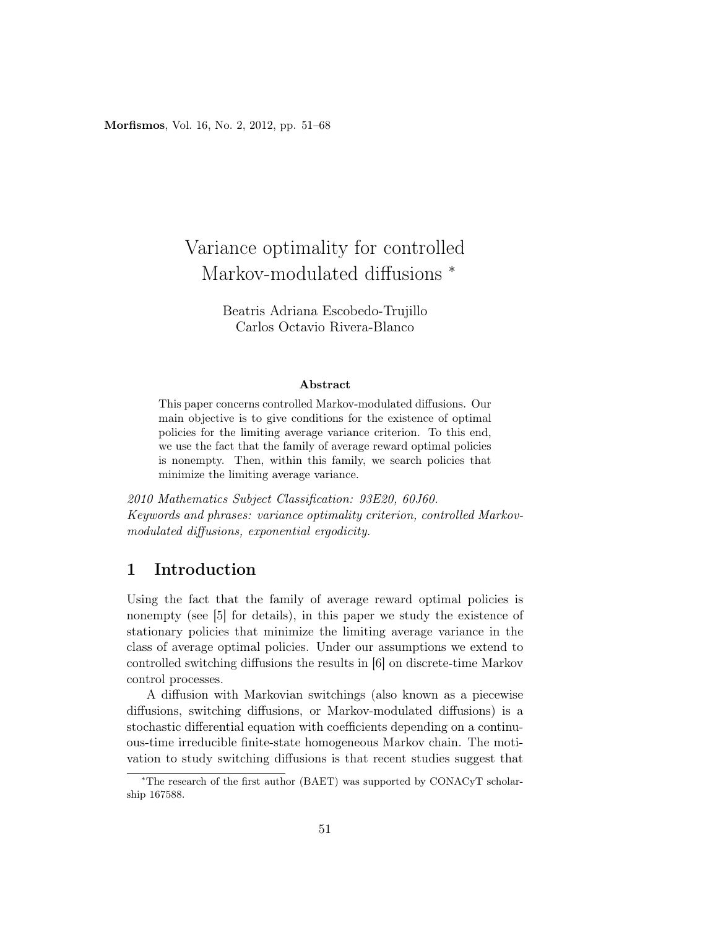Morfismos, Vol. 16, No. 2, 2012, pp. 51–68

# Variance optimality for controlled Markov-modulated diffusions<sup>\*</sup>

Beatris Adriana Escobedo-Trujillo Carlos Octavio Rivera-Blanco

#### Abstract

This paper concerns controlled Markov-modulated diffusions. Our main objective is to give conditions for the existence of optimal policies for the limiting average variance criterion. To this end, we use the fact that the family of average reward optimal policies is nonempty. Then, within this family, we search policies that minimize the limiting average variance.

2010 Mathematics Subject Classification: 93E20, 60J60. Keywords and phrases: variance optimality criterion, controlled Markovmodulated diffusions, exponential ergodicity.

# 1 Introduction

Using the fact that the family of average reward optimal policies is nonempty (see [5] for details), in this paper we study the existence of stationary policies that minimize the limiting average variance in the class of average optimal policies. Under our assumptions we extend to controlled switching diffusions the results in [6] on discrete-time Markov control processes.

A diffusion with Markovian switchings (also known as a piecewise diffusions, switching diffusions, or Markov-modulated diffusions) is a stochastic differential equation with coefficients depending on a continuous-time irreducible finite-state homogeneous Markov chain. The motivation to study switching diffusions is that recent studies suggest that

<sup>∗</sup>The research of the first author (BAET) was supported by CONACyT scholarship 167588.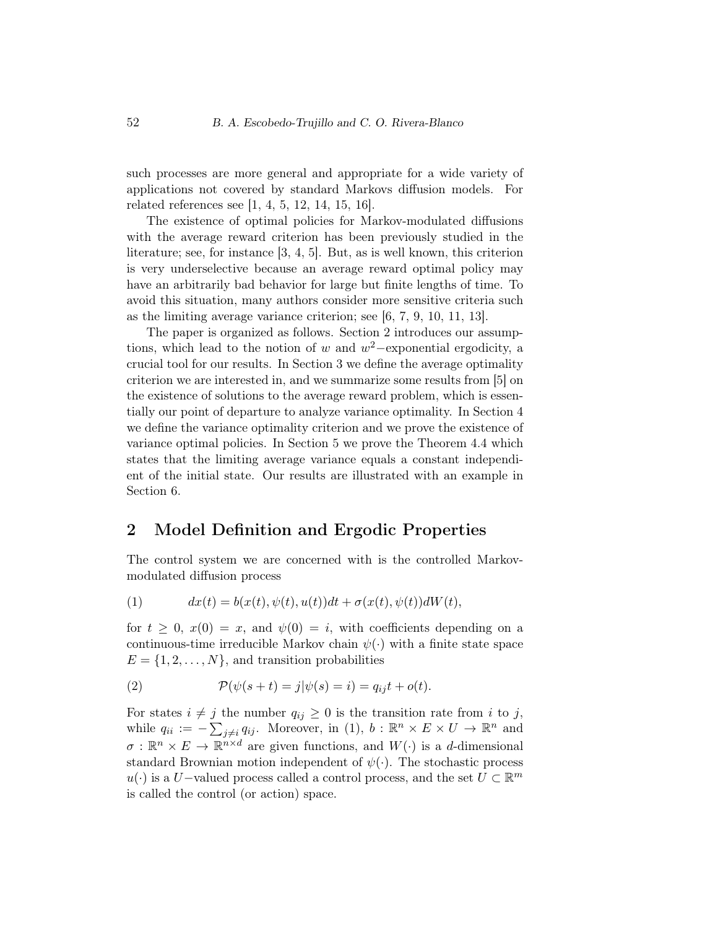such processes are more general and appropriate for a wide variety of applications not covered by standard Markovs diffusion models. For related references see [1, 4, 5, 12, 14, 15, 16].

The existence of optimal policies for Markov-modulated diffusions with the average reward criterion has been previously studied in the literature; see, for instance [3, 4, 5]. But, as is well known, this criterion is very underselective because an average reward optimal policy may have an arbitrarily bad behavior for large but finite lengths of time. To avoid this situation, many authors consider more sensitive criteria such as the limiting average variance criterion; see [6, 7, 9, 10, 11, 13].

The paper is organized as follows. Section 2 introduces our assumptions, which lead to the notion of w and  $w^2$ -exponential ergodicity, a crucial tool for our results. In Section 3 we define the average optimality criterion we are interested in, and we summarize some results from [5] on the existence of solutions to the average reward problem, which is essentially our point of departure to analyze variance optimality. In Section 4 we define the variance optimality criterion and we prove the existence of variance optimal policies. In Section 5 we prove the Theorem 4.4 which states that the limiting average variance equals a constant independient of the initial state. Our results are illustrated with an example in Section 6.

## 2 Model Definition and Ergodic Properties

The control system we are concerned with is the controlled Markovmodulated diffusion process

(1) 
$$
dx(t) = b(x(t), \psi(t), u(t))dt + \sigma(x(t), \psi(t))dW(t),
$$

for  $t \geq 0$ ,  $x(0) = x$ , and  $\psi(0) = i$ , with coefficients depending on a continuous-time irreducible Markov chain  $\psi(\cdot)$  with a finite state space  $E = \{1, 2, \ldots, N\}$ , and transition probabilities

(2) 
$$
\mathcal{P}(\psi(s+t) = j | \psi(s) = i) = q_{ij}t + o(t).
$$

For states  $i \neq j$  the number  $q_{ij} \geq 0$  is the transition rate from i to j, while  $q_{ii} := -\sum_{j\neq i} q_{ij}$ . Moreover, in (1),  $b : \mathbb{R}^n \times E \times U \to \mathbb{R}^n$  and  $\sigma : \mathbb{R}^n \times E \to \mathbb{R}^{n \times d}$  are given functions, and  $W(\cdot)$  is a *d*-dimensional standard Brownian motion independent of  $\psi(\cdot)$ . The stochastic process  $u(·)$  is a U–valued process called a control process, and the set  $U \subset \mathbb{R}^m$ is called the control (or action) space.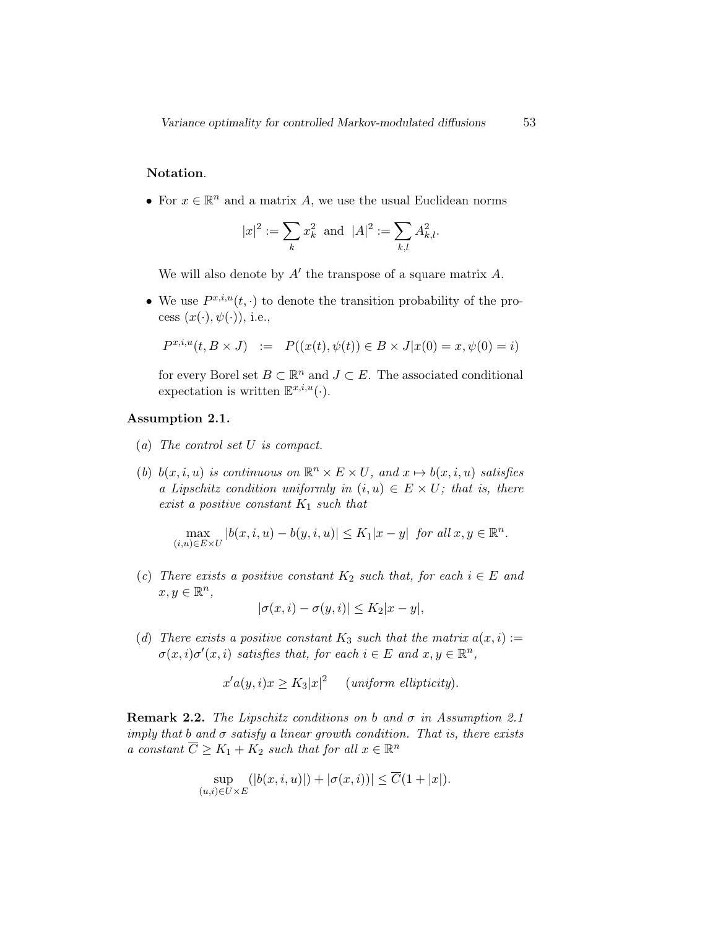### Notation.

• For  $x \in \mathbb{R}^n$  and a matrix A, we use the usual Euclidean norms

$$
|x|^2:=\sum_k x_k^2\;\; \text{and} \;\; |A|^2:=\sum_{k,l} A_{k,l}^2.
$$

We will also denote by  $A'$  the transpose of a square matrix  $A$ .

• We use  $P^{x,i,u}(t,\cdot)$  to denote the transition probability of the process  $(x(\cdot), \psi(\cdot))$ , i.e.,

$$
P^{x,i,u}(t, B \times J) \ := \ P((x(t), \psi(t)) \in B \times J | x(0) = x, \psi(0) = i)
$$

for every Borel set  $B \subset \mathbb{R}^n$  and  $J \subset E$ . The associated conditional expectation is written  $\mathbb{E}^{x,i,u}(\cdot)$ .

#### Assumption 2.1.

- (a) The control set U is compact.
- (b)  $b(x, i, u)$  is continuous on  $\mathbb{R}^n \times E \times U$ , and  $x \mapsto b(x, i, u)$  satisfies a Lipschitz condition uniformly in  $(i, u) \in E \times U$ ; that is, there exist a positive constant  $K_1$  such that

$$
\max_{(i,u)\in E\times U} |b(x,i,u)-b(y,i,u)| \le K_1|x-y| \text{ for all } x,y\in \mathbb{R}^n.
$$

(c) There exists a positive constant  $K_2$  such that, for each  $i \in E$  and  $x, y \in \mathbb{R}^n$ ,

$$
|\sigma(x,i) - \sigma(y,i)| \le K_2 |x - y|,
$$

(d) There exists a positive constant  $K_3$  such that the matrix  $a(x, i) :=$  $\sigma(x,i)\sigma'(x,i)$  satisfies that, for each  $i \in E$  and  $x,y \in \mathbb{R}^n$ ,

$$
x'a(y,i)x \ge K_3|x|^2
$$
 (uniform ellipticity).

**Remark 2.2.** The Lipschitz conditions on b and  $\sigma$  in Assumption 2.1 imply that b and  $\sigma$  satisfy a linear growth condition. That is, there exists a constant  $\overline{C} \geq K_1 + K_2$  such that for all  $x \in \mathbb{R}^n$ 

$$
\sup_{(u,i)\in U\times E} (|b(x,i,u)|) + |\sigma(x,i))| \leq \overline{C}(1+|x|).
$$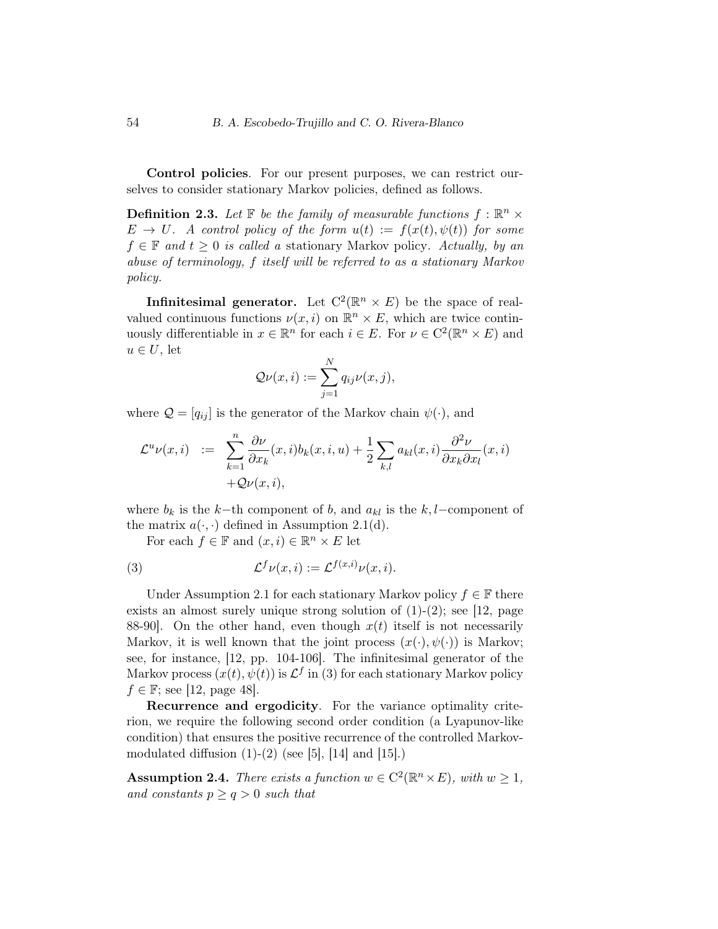Control policies. For our present purposes, we can restrict ourselves to consider stationary Markov policies, defined as follows.

**Definition 2.3.** Let  $\mathbb{F}$  be the family of measurable functions  $f : \mathbb{R}^n \times$  $E \to U$ . A control policy of the form  $u(t) := f(x(t), \psi(t))$  for some  $f \in \mathbb{F}$  and  $t \geq 0$  is called a stationary Markov policy. Actually, by an abuse of terminology, f itself will be referred to as a stationary Markov policy.

**Infinitesimal generator.** Let  $C^2(\mathbb{R}^n \times E)$  be the space of realvalued continuous functions  $\nu(x, i)$  on  $\mathbb{R}^n \times E$ , which are twice continuously differentiable in  $x \in \mathbb{R}^n$  for each  $i \in E$ . For  $\nu \in C^2(\mathbb{R}^n \times E)$  and  $u \in U$ , let

$$
\mathcal{Q}\nu(x,i) := \sum_{j=1}^N q_{ij}\nu(x,j),
$$

where  $\mathcal{Q} = [q_{ij}]$  is the generator of the Markov chain  $\psi(\cdot)$ , and

$$
\mathcal{L}^{u} \nu(x,i) := \sum_{k=1}^{n} \frac{\partial \nu}{\partial x_k}(x,i) b_k(x,i,u) + \frac{1}{2} \sum_{k,l} a_{kl}(x,i) \frac{\partial^2 \nu}{\partial x_k \partial x_l}(x,i) + \mathcal{Q} \nu(x,i),
$$

where  $b_k$  is the k−th component of b, and  $a_{kl}$  is the k, l–component of the matrix  $a(\cdot, \cdot)$  defined in Assumption 2.1(d).

For each  $f \in \mathbb{F}$  and  $(x, i) \in \mathbb{R}^n \times E$  let

(3) 
$$
\mathcal{L}^f \nu(x, i) := \mathcal{L}^{f(x,i)} \nu(x, i).
$$

Under Assumption 2.1 for each stationary Markov policy  $f \in \mathbb{F}$  there exists an almost surely unique strong solution of  $(1)-(2)$ ; see [12, page 88-90. On the other hand, even though  $x(t)$  itself is not necessarily Markov, it is well known that the joint process  $(x(\cdot), \psi(\cdot))$  is Markov; see, for instance, [12, pp. 104-106]. The infinitesimal generator of the Markov process  $(x(t), \psi(t))$  is  $\mathcal{L}^f$  in (3) for each stationary Markov policy  $f \in \mathbb{F}$ ; see [12, page 48].

Recurrence and ergodicity. For the variance optimality criterion, we require the following second order condition (a Lyapunov-like condition) that ensures the positive recurrence of the controlled Markovmodulated diffusion  $(1)-(2)$  (see [5], [14] and [15].)

**Assumption 2.4.** There exists a function  $w \in C^2(\mathbb{R}^n \times E)$ , with  $w \geq 1$ , and constants  $p \geq q > 0$  such that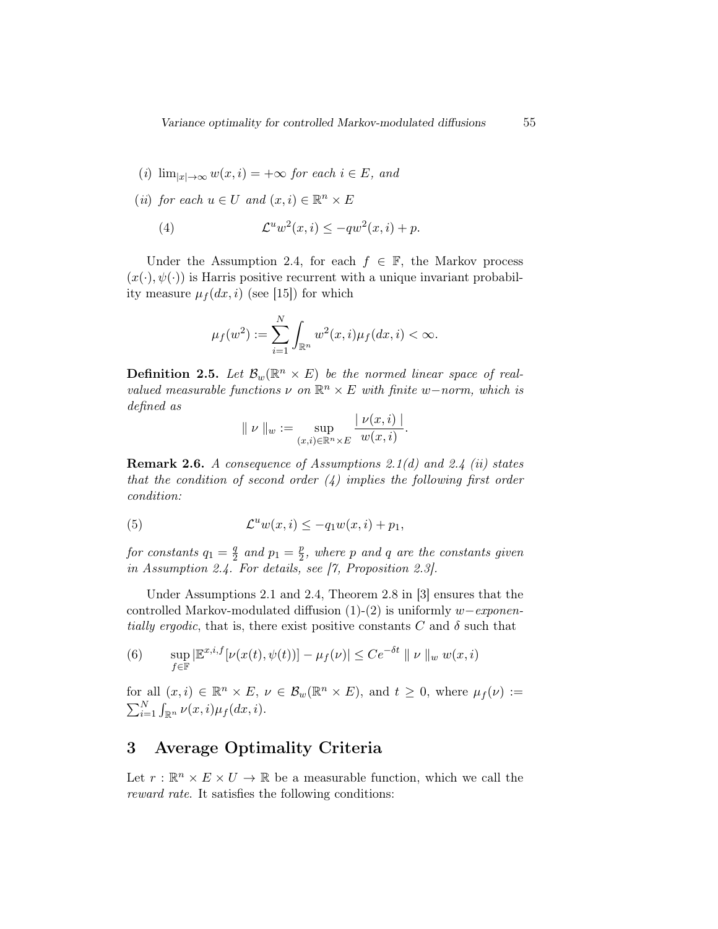(i) 
$$
\lim_{|x| \to \infty} w(x, i) = +\infty
$$
 for each  $i \in E$ , and

(*ii*) for each  $u \in U$  and  $(x, i) \in \mathbb{R}^n \times E$ 

(4) 
$$
\mathcal{L}^u w^2(x,i) \le -qw^2(x,i) + p.
$$

Under the Assumption 2.4, for each  $f \in \mathbb{F}$ , the Markov process  $(x(\cdot), \psi(\cdot))$  is Harris positive recurrent with a unique invariant probability measure  $\mu_f(dx, i)$  (see [15]) for which

$$
\mu_f(w^2) := \sum_{i=1}^N \int_{\mathbb{R}^n} w^2(x, i) \mu_f(dx, i) < \infty.
$$

**Definition 2.5.** Let  $\mathcal{B}_{w}(\mathbb{R}^n \times E)$  be the normed linear space of realvalued measurable functions  $\nu$  on  $\mathbb{R}^n \times E$  with finite w-norm, which is defined as | ν(x, i) |

$$
\parallel \nu \parallel_w := \sup_{(x,i) \in \mathbb{R}^n \times E} \frac{|\nu(x,i)|}{w(x,i)}.
$$

**Remark 2.6.** A consequence of Assumptions 2.1(d) and 2.4 (ii) states that the condition of second order  $(4)$  implies the following first order condition:

(5) 
$$
\mathcal{L}^u w(x,i) \leq -q_1 w(x,i) + p_1,
$$

for constants  $q_1 = \frac{q}{2}$  $\frac{q}{2}$  and  $p_1 = \frac{p}{2}$  $\frac{p}{2}$ , where  $p$  and  $q$  are the constants given in Assumption 2.4. For details, see [7, Proposition 2.3].

Under Assumptions 2.1 and 2.4, Theorem 2.8 in [3] ensures that the controlled Markov-modulated diffusion (1)-(2) is uniformly  $w-exponen$ tially ergodic, that is, there exist positive constants C and  $\delta$  such that

(6) 
$$
\sup_{f \in \mathbb{F}} |\mathbb{E}^{x,i,f}[\nu(x(t), \psi(t))] - \mu_f(\nu)| \leq C e^{-\delta t} || \nu ||_w w(x, i)
$$

for all  $(x, i) \in \mathbb{R}^n \times E$ ,  $\nu \in \mathcal{B}_w(\mathbb{R}^n \times E)$ , and  $t \geq 0$ , where  $\mu_f(\nu) :=$  $\sum_{i=1}^N \int_{\mathbb{R}^n} \nu(x,i) \mu_f(dx,i).$ 

# 3 Average Optimality Criteria

Let  $r : \mathbb{R}^n \times E \times U \to \mathbb{R}$  be a measurable function, which we call the reward rate. It satisfies the following conditions: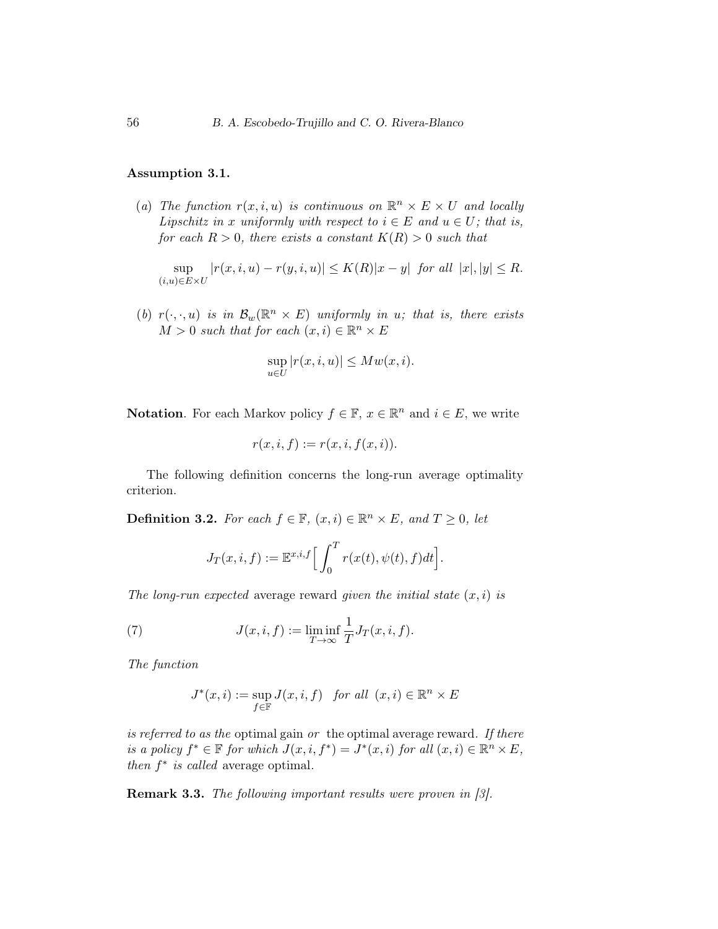#### Assumption 3.1.

(a) The function  $r(x, i, u)$  is continuous on  $\mathbb{R}^n \times E \times U$  and locally Lipschitz in x uniformly with respect to  $i \in E$  and  $u \in U$ ; that is, for each  $R > 0$ , there exists a constant  $K(R) > 0$  such that

sup  $(i,u) \in E \times U$  $|r(x, i, u) - r(y, i, u)| \le K(R)|x - y|$  for all  $|x|, |y| \le R$ .

(b)  $r(\cdot, \cdot, u)$  is in  $\mathcal{B}_w(\mathbb{R}^n \times E)$  uniformly in u; that is, there exists  $M > 0$  such that for each  $(x, i) \in \mathbb{R}^n \times E$ 

$$
\sup_{u \in U} |r(x, i, u)| \le M w(x, i).
$$

**Notation**. For each Markov policy  $f \in \mathbb{F}$ ,  $x \in \mathbb{R}^n$  and  $i \in E$ , we write

$$
r(x,i,f) := r(x,i,f(x,i)).
$$

The following definition concerns the long-run average optimality criterion.

**Definition 3.2.** For each  $f \in \mathbb{F}$ ,  $(x, i) \in \mathbb{R}^n \times E$ , and  $T \geq 0$ , let

$$
J_T(x, i, f) := \mathbb{E}^{x, i, f} \Big[ \int_0^T r(x(t), \psi(t), f) dt \Big].
$$

The long-run expected average reward given the initial state  $(x, i)$  is

(7) 
$$
J(x, i, f) := \liminf_{T \to \infty} \frac{1}{T} J_T(x, i, f).
$$

The function

$$
J^*(x, i) := \sup_{f \in \mathbb{F}} J(x, i, f) \quad \text{for all } (x, i) \in \mathbb{R}^n \times E
$$

is referred to as the optimal gain or the optimal average reward. If there is a policy  $f^* \in \mathbb{F}$  for which  $J(x, i, f^*) = J^*(x, i)$  for all  $(x, i) \in \mathbb{R}^n \times E$ , then  $f^*$  is called average optimal.

Remark 3.3. The following important results were proven in [3].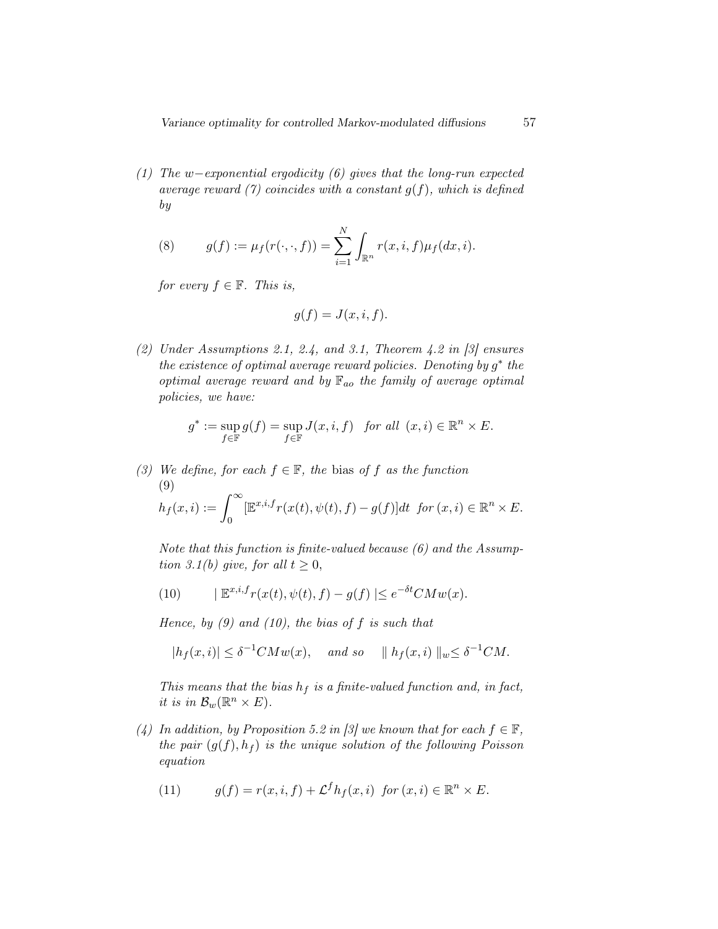(1) The w−exponential ergodicity (6) gives that the long-run expected average reward (7) coincides with a constant  $g(f)$ , which is defined by

(8) 
$$
g(f) := \mu_f(r(\cdot, \cdot, f)) = \sum_{i=1}^N \int_{\mathbb{R}^n} r(x, i, f) \mu_f(dx, i).
$$

for every  $f \in \mathbb{F}$ . This is,

$$
g(f) = J(x, i, f).
$$

(2) Under Assumptions 2.1, 2.4, and 3.1, Theorem 4.2 in  $[3]$  ensures the existence of optimal average reward policies. Denoting by  $g^*$  the optimal average reward and by  $\mathbb{F}_{ao}$  the family of average optimal policies, we have:

$$
g^* := \sup_{f \in \mathbb{F}} g(f) = \sup_{f \in \mathbb{F}} J(x, i, f) \quad \text{for all } (x, i) \in \mathbb{R}^n \times E.
$$

(3) We define, for each  $f \in \mathbb{F}$ , the bias of f as the function (9)  $h_f (x, i) := \int^{\infty}$ 0  $[\mathbb{E}^{x,i,f}r(x(t),\psi(t),f)-g(f)]dt$  for  $(x,i)\in\mathbb{R}^n\times E$ .

Note that this function is finite-valued because (6) and the Assumption 3.1(b) give, for all  $t \geq 0$ ,

(10) 
$$
|\mathbb{E}^{x,i,f}r(x(t),\psi(t),f)-g(f)| \leq e^{-\delta t}CMw(x).
$$

Hence, by  $(9)$  and  $(10)$ , the bias of f is such that

$$
|h_f(x,i)| \le \delta^{-1}CMw(x), \quad \text{and so} \quad ||h_f(x,i)||_w \le \delta^{-1}CM.
$$

This means that the bias  $h_f$  is a finite-valued function and, in fact, it is in  $\mathcal{B}_w(\mathbb{R}^n \times E)$ .

(4) In addition, by Proposition 5.2 in [3] we known that for each  $f \in \mathbb{F}$ , the pair  $(g(f), h_f)$  is the unique solution of the following Poisson equation

(11) 
$$
g(f) = r(x, i, f) + \mathcal{L}^f h_f(x, i) \text{ for } (x, i) \in \mathbb{R}^n \times E.
$$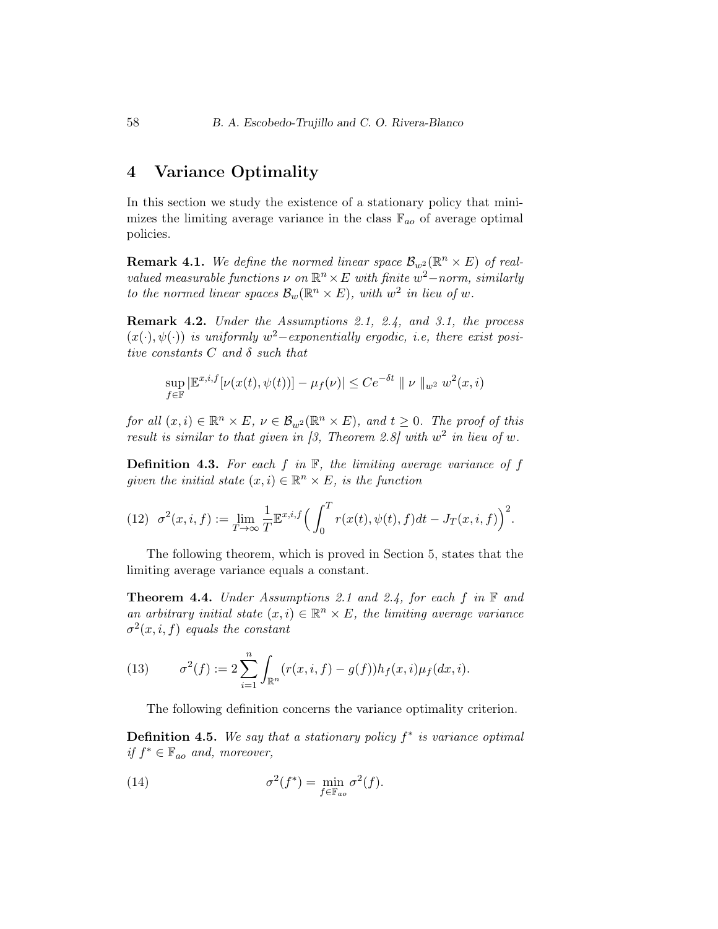# 4 Variance Optimality

In this section we study the existence of a stationary policy that minimizes the limiting average variance in the class  $\mathbb{F}_{ao}$  of average optimal policies.

**Remark 4.1.** We define the normed linear space  $\mathcal{B}_{w^2}(\mathbb{R}^n \times E)$  of realvalued measurable functions  $\nu$  on  $\mathbb{R}^n \times E$  with finite  $w^2$ –norm, similarly to the normed linear spaces  $\mathcal{B}_w(\mathbb{R}^n \times E)$ , with  $w^2$  in lieu of w.

Remark 4.2. Under the Assumptions 2.1, 2.4, and 3.1, the process  $(x(\cdot), \psi(\cdot))$  is uniformly  $w^2$ -exponentially ergodic, i.e, there exist positive constants  $C$  and  $\delta$  such that

$$
\sup_{f \in \mathbb{F}} |\mathbb{E}^{x,i,f}[\nu(x(t),\psi(t))] - \mu_f(\nu)| \leq C e^{-\delta t} || \nu ||_{w^2} w^2(x,i)
$$

for all  $(x, i) \in \mathbb{R}^n \times E$ ,  $\nu \in \mathcal{B}_{w^2}(\mathbb{R}^n \times E)$ , and  $t \geq 0$ . The proof of this result is similar to that given in [3, Theorem 2.8] with  $w^2$  in lieu of w.

**Definition 4.3.** For each  $f$  in  $\mathbb{F}$ , the limiting average variance of  $f$ given the initial state  $(x, i) \in \mathbb{R}^n \times E$ , is the function

(12) 
$$
\sigma^{2}(x, i, f) := \lim_{T \to \infty} \frac{1}{T} \mathbb{E}^{x, i, f} \left( \int_{0}^{T} r(x(t), \psi(t), f) dt - J_{T}(x, i, f) \right)^{2}.
$$

The following theorem, which is proved in Section 5, states that the limiting average variance equals a constant.

**Theorem 4.4.** Under Assumptions 2.1 and 2.4, for each  $f$  in  $\mathbb F$  and an arbitrary initial state  $(x, i) \in \mathbb{R}^n \times E$ , the limiting average variance  $\sigma^2(x,i,f)$  equals the constant

(13) 
$$
\sigma^{2}(f) := 2 \sum_{i=1}^{n} \int_{\mathbb{R}^{n}} (r(x, i, f) - g(f)) h_{f}(x, i) \mu_{f}(dx, i).
$$

The following definition concerns the variance optimality criterion.

**Definition 4.5.** We say that a stationary policy  $f^*$  is variance optimal if  $f^* \in \mathbb{F}_{ao}$  and, moreover,

(14) 
$$
\sigma^2(f^*) = \min_{f \in \mathbb{F}_{ao}} \sigma^2(f).
$$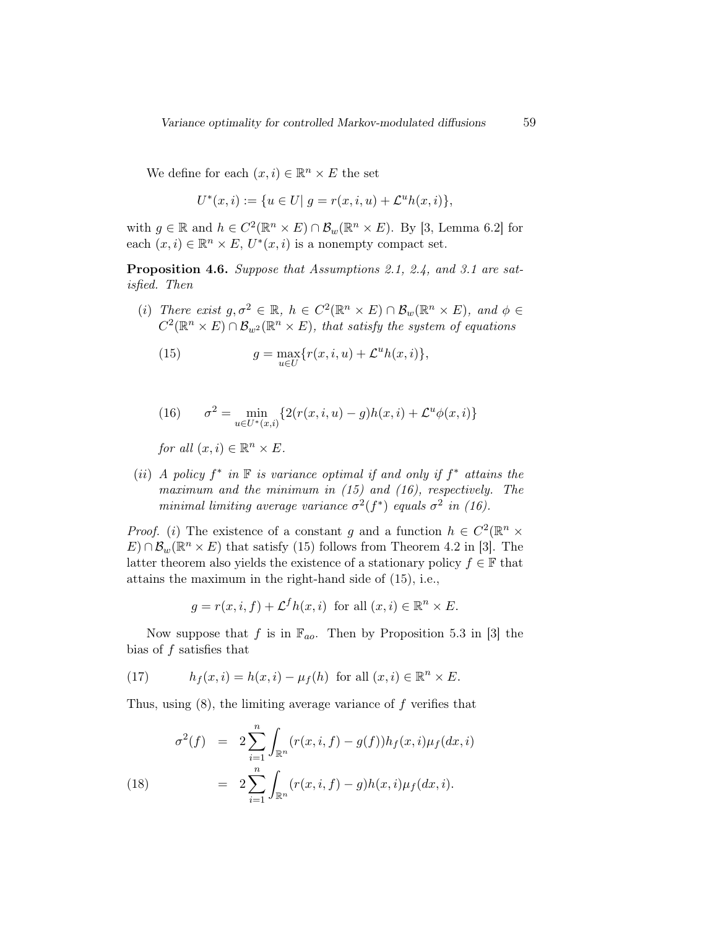We define for each  $(x, i) \in \mathbb{R}^n \times E$  the set

$$
U^*(x, i) := \{ u \in U | g = r(x, i, u) + \mathcal{L}^u h(x, i) \},
$$

with  $g \in \mathbb{R}$  and  $h \in C^2(\mathbb{R}^n \times E) \cap \mathcal{B}_w(\mathbb{R}^n \times E)$ . By [3, Lemma 6.2] for each  $(x, i) \in \mathbb{R}^n \times E$ ,  $U^*(x, i)$  is a nonempty compact set.

Proposition 4.6. Suppose that Assumptions 2.1, 2.4, and 3.1 are satisfied. Then

(i) There exist  $g, \sigma^2 \in \mathbb{R}$ ,  $h \in C^2(\mathbb{R}^n \times E) \cap \mathcal{B}_w(\mathbb{R}^n \times E)$ , and  $\phi \in$  $C^2(\mathbb{R}^n \times E) \cap \mathcal{B}_{w^2}(\mathbb{R}^n \times E)$ , that satisfy the system of equations

(15) 
$$
g = \max_{u \in U} \{r(x, i, u) + \mathcal{L}^u h(x, i)\},\
$$

(16) 
$$
\sigma^{2} = \min_{u \in U^{*}(x,i)} \{ 2(r(x,i,u) - g)h(x,i) + \mathcal{L}^{u}\phi(x,i) \}
$$

for all  $(x, i) \in \mathbb{R}^n \times E$ .

(ii) A policy  $f^*$  in  $\mathbb F$  is variance optimal if and only if  $f^*$  attains the maximum and the minimum in  $(15)$  and  $(16)$ , respectively. The minimal limiting average variance  $\sigma^2(f^*)$  equals  $\sigma^2$  in (16).

*Proof.* (*i*) The existence of a constant g and a function  $h \in C^2(\mathbb{R}^n \times$  $E) \cap \mathcal{B}_{w}(\mathbb{R}^{n} \times E)$  that satisfy (15) follows from Theorem 4.2 in [3]. The latter theorem also yields the existence of a stationary policy  $f \in \mathbb{F}$  that attains the maximum in the right-hand side of (15), i.e.,

$$
g = r(x, i, f) + \mathcal{L}^f h(x, i) \text{ for all } (x, i) \in \mathbb{R}^n \times E.
$$

Now suppose that f is in  $\mathbb{F}_{a}$ . Then by Proposition 5.3 in [3] the bias of f satisfies that

(17) 
$$
h_f(x,i) = h(x,i) - \mu_f(h) \text{ for all } (x,i) \in \mathbb{R}^n \times E.
$$

Thus, using (8), the limiting average variance of f verifies that

(18) 
$$
\sigma^{2}(f) = 2 \sum_{i=1}^{n} \int_{\mathbb{R}^{n}} (r(x, i, f) - g(f)) h_{f}(x, i) \mu_{f}(dx, i)
$$

$$
= 2 \sum_{i=1}^{n} \int_{\mathbb{R}^{n}} (r(x, i, f) - g) h(x, i) \mu_{f}(dx, i).
$$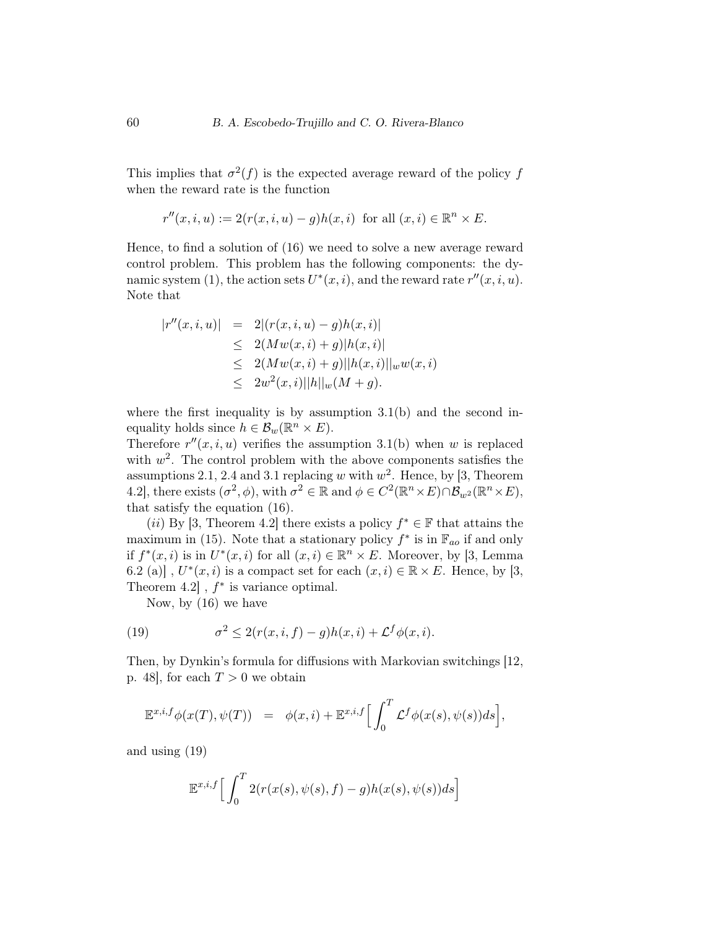This implies that  $\sigma^2(f)$  is the expected average reward of the policy f when the reward rate is the function

$$
r''(x,i,u) := 2(r(x,i,u) - g)h(x,i) \text{ for all } (x,i) \in \mathbb{R}^n \times E.
$$

Hence, to find a solution of (16) we need to solve a new average reward control problem. This problem has the following components: the dynamic system (1), the action sets  $U^*(x, i)$ , and the reward rate  $r''(x, i, u)$ . Note that

$$
|r''(x,i,u)| = 2|(r(x,i,u) - g)h(x,i)|
$$
  
\n
$$
\leq 2(Mw(x,i) + g)|h(x,i)|
$$
  
\n
$$
\leq 2(Mw(x,i) + g)||h(x,i)||_w w(x,i)
$$
  
\n
$$
\leq 2w^2(x,i)||h||_w(M + g).
$$

where the first inequality is by assumption 3.1(b) and the second inequality holds since  $h \in \mathcal{B}_w(\mathbb{R}^n \times E)$ .

Therefore  $r''(x, i, u)$  verifies the assumption 3.1(b) when w is replaced with  $w^2$ . The control problem with the above components satisfies the assumptions 2.1, 2.4 and 3.1 replacing w with  $w^2$ . Hence, by [3, Theorem 4.2, there exists  $(\sigma^2, \phi)$ , with  $\sigma^2 \in \mathbb{R}$  and  $\phi \in C^2(\mathbb{R}^n \times E) \cap \mathcal{B}_{w^2}(\mathbb{R}^n \times E)$ , that satisfy the equation (16).

(*ii*) By [3, Theorem 4.2] there exists a policy  $f^* \in \mathbb{F}$  that attains the maximum in (15). Note that a stationary policy  $f^*$  is in  $\mathbb{F}_{ac}$  if and only if  $f^*(x, i)$  is in  $U^*(x, i)$  for all  $(x, i) \in \mathbb{R}^n \times E$ . Moreover, by [3, Lemma 6.2 (a)],  $U^*(x, i)$  is a compact set for each  $(x, i) \in \mathbb{R} \times E$ . Hence, by [3, Theorem  $4.2$ ,  $f^*$  is variance optimal.

Now, by (16) we have

(19) 
$$
\sigma^2 \leq 2(r(x,i,f)-g)h(x,i) + \mathcal{L}^f\phi(x,i).
$$

Then, by Dynkin's formula for diffusions with Markovian switchings [12, p. 48, for each  $T > 0$  we obtain

$$
\mathbb{E}^{x,i,f}\phi(x(T),\psi(T)) = \phi(x,i) + \mathbb{E}^{x,i,f}\Big[\int_0^T \mathcal{L}^f\phi(x(s),\psi(s))ds\Big],
$$

and using (19)

$$
\mathbb{E}^{x,i,f}\Big[\int_0^T 2(r(x(s),\psi(s),f)-g)h(x(s),\psi(s))ds\Big]
$$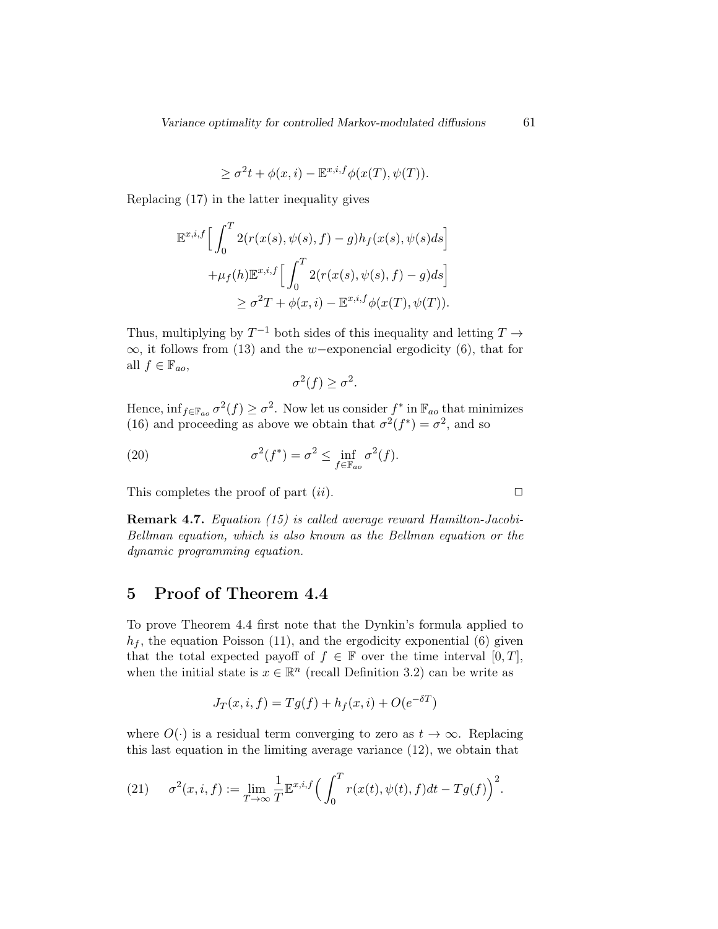$$
\geq \sigma^2 t + \phi(x, i) - \mathbb{E}^{x, i, f} \phi(x(T), \psi(T)).
$$

Replacing (17) in the latter inequality gives

$$
\mathbb{E}^{x,i,f} \Big[ \int_0^T 2(r(x(s), \psi(s), f) - g) h_f(x(s), \psi(s) ds \Big] \n+ \mu_f(h) \mathbb{E}^{x,i,f} \Big[ \int_0^T 2(r(x(s), \psi(s), f) - g) ds \Big] \n\geq \sigma^2 T + \phi(x, i) - \mathbb{E}^{x,i,f} \phi(x(T), \psi(T)).
$$

Thus, multiplying by  $T^{-1}$  both sides of this inequality and letting  $T \rightarrow$  $\infty$ , it follows from (13) and the w−exponencial ergodicity (6), that for all  $f \in \mathbb{F}_{ao}$ ,

$$
\sigma^2(f) \ge \sigma^2.
$$

Hence,  $\inf_{f \in \mathbb{F}_{a_0}} \sigma^2(f) \ge \sigma^2$ . Now let us consider  $f^*$  in  $\mathbb{F}_{a_0}$  that minimizes (16) and proceeding as above we obtain that  $\sigma^2(f^*) = \sigma^2$ , and so

(20) 
$$
\sigma^2(f^*) = \sigma^2 \leq \inf_{f \in \mathbb{F}_{ao}} \sigma^2(f).
$$

This completes the proof of part  $(ii)$ .

Remark 4.7. Equation (15) is called average reward Hamilton-Jacobi-Bellman equation, which is also known as the Bellman equation or the dynamic programming equation.

## 5 Proof of Theorem 4.4

To prove Theorem 4.4 first note that the Dynkin's formula applied to  $h_f$ , the equation Poisson (11), and the ergodicity exponential (6) given that the total expected payoff of  $f \in \mathbb{F}$  over the time interval  $[0, T]$ , when the initial state is  $x \in \mathbb{R}^n$  (recall Definition 3.2) can be write as

$$
J_T(x, i, f) = Tg(f) + h_f(x, i) + O(e^{-\delta T})
$$

where  $O(\cdot)$  is a residual term converging to zero as  $t \to \infty$ . Replacing this last equation in the limiting average variance (12), we obtain that

(21) 
$$
\sigma^2(x,i,f) := \lim_{T \to \infty} \frac{1}{T} \mathbb{E}^{x,i,f} \left( \int_0^T r(x(t), \psi(t), f) dt - Tg(f) \right)^2.
$$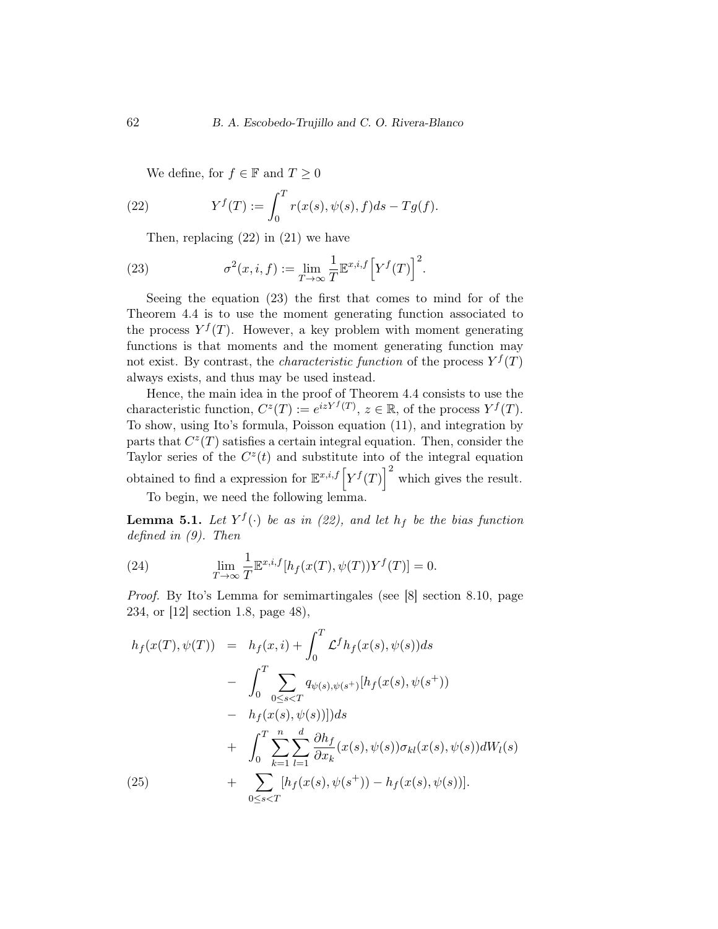We define, for  $f \in \mathbb{F}$  and  $T \geq 0$ 

(22) 
$$
Y^{f}(T) := \int_{0}^{T} r(x(s), \psi(s), f) ds - Tg(f).
$$

Then, replacing (22) in (21) we have

(23) 
$$
\sigma^2(x,i,f) := \lim_{T \to \infty} \frac{1}{T} \mathbb{E}^{x,i,f} \left[ Y^f(T) \right]^2.
$$

Seeing the equation (23) the first that comes to mind for of the Theorem 4.4 is to use the moment generating function associated to the process  $Y^f(T)$ . However, a key problem with moment generating functions is that moments and the moment generating function may not exist. By contrast, the *characteristic function* of the process  $Y^f(T)$ always exists, and thus may be used instead.

Hence, the main idea in the proof of Theorem 4.4 consists to use the characteristic function,  $C^z(T) := e^{izY^f(T)}$ ,  $z \in \mathbb{R}$ , of the process  $Y^f(T)$ . To show, using Ito's formula, Poisson equation (11), and integration by parts that  $C^z(T)$  satisfies a certain integral equation. Then, consider the Taylor series of the  $C<sup>z</sup>(t)$  and substitute into of the integral equation obtained to find a expression for  $\mathbb{E}^{x,i,f} \left[ Y^f(T) \right]^2$  which gives the result.

To begin, we need the following lemma.

**Lemma 5.1.** Let  $Y^f(\cdot)$  be as in (22), and let  $h_f$  be the bias function defined in (9). Then

(24) 
$$
\lim_{T \to \infty} \frac{1}{T} \mathbb{E}^{x,i,f}[h_f(x(T), \psi(T))Y^f(T)] = 0.
$$

Proof. By Ito's Lemma for semimartingales (see [8] section 8.10, page 234, or [12] section 1.8, page 48),

$$
h_f(x(T), \psi(T)) = h_f(x, i) + \int_0^T \mathcal{L}^f h_f(x(s), \psi(s)) ds
$$
  
- 
$$
\int_0^T \sum_{0 \le s < T} q_{\psi(s), \psi(s^+)}[h_f(x(s), \psi(s^+))
$$
  
- 
$$
h_f(x(s), \psi(s))]) ds
$$
  
+ 
$$
\int_0^T \sum_{k=1}^n \sum_{l=1}^d \frac{\partial h_f}{\partial x_k}(x(s), \psi(s)) \sigma_{kl}(x(s), \psi(s)) dW_l(s)
$$
  
(25) + 
$$
\sum_{0 \le s < T} [h_f(x(s), \psi(s^+)) - h_f(x(s), \psi(s))].
$$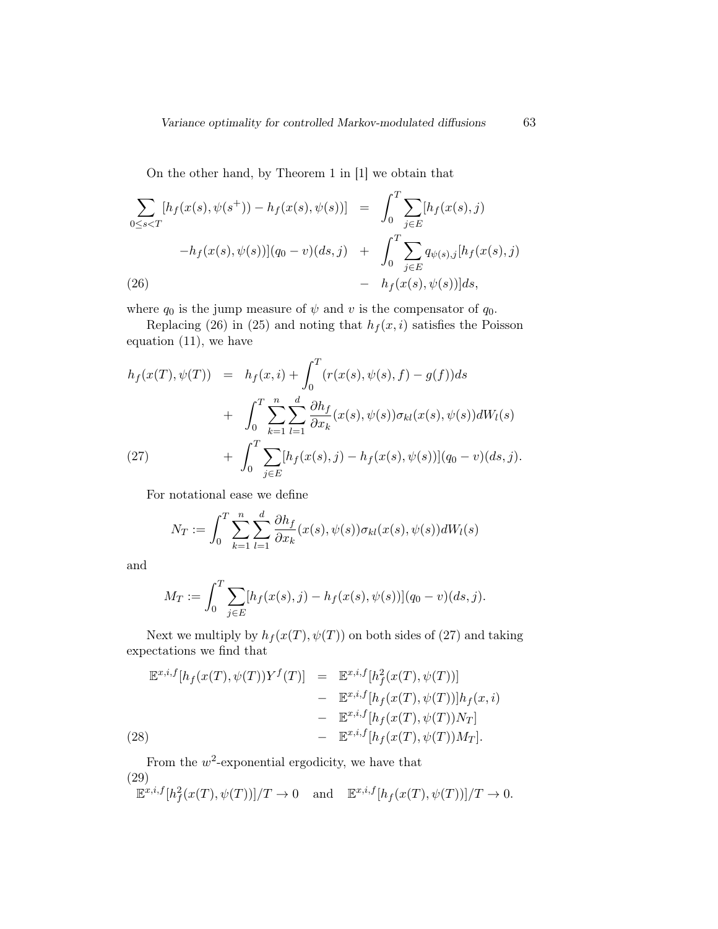On the other hand, by Theorem 1 in [1] we obtain that

$$
\sum_{0 \le s < T} [h_f(x(s), \psi(s^+)) - h_f(x(s), \psi(s))] = \int_0^T \sum_{j \in E} [h_f(x(s), j)]
$$
\n
$$
-h_f(x(s), \psi(s))](q_0 - v)(ds, j) + \int_0^T \sum_{j \in E} q_{\psi(s), j} [h_f(x(s), j)]
$$
\n
$$
(26) - h_f(x(s), \psi(s))]ds,
$$

where  $q_0$  is the jump measure of  $\psi$  and  $v$  is the compensator of  $q_0$ .

Replacing (26) in (25) and noting that  $h_f(x, i)$  satisfies the Poisson equation (11), we have

$$
h_f(x(T), \psi(T)) = h_f(x, i) + \int_0^T (r(x(s), \psi(s), f) - g(f))ds
$$
  
+ 
$$
\int_0^T \sum_{k=1}^n \sum_{l=1}^d \frac{\partial h_f}{\partial x_k}(x(s), \psi(s)) \sigma_{kl}(x(s), \psi(s))dW_l(s)
$$
  
(27) 
$$
+ \int_0^T \sum_{j \in E} [h_f(x(s), j) - h_f(x(s), \psi(s))](q_0 - v)(ds, j).
$$

For notational ease we define

$$
N_T := \int_0^T \sum_{k=1}^n \sum_{l=1}^d \frac{\partial h_f}{\partial x_k}(x(s), \psi(s)) \sigma_{kl}(x(s), \psi(s)) dW_l(s)
$$

and

$$
M_T := \int_0^T \sum_{j \in E} [h_f(x(s), j) - h_f(x(s), \psi(s))](q_0 - v)(ds, j).
$$

Next we multiply by  $h_f(x(T), \psi(T))$  on both sides of (27) and taking expectations we find that

(28)  
\n
$$
\mathbb{E}^{x,i,f}[h_f(x(T), \psi(T))Y^f(T)] = \mathbb{E}^{x,i,f}[h_f^2(x(T), \psi(T))]
$$
\n
$$
- \mathbb{E}^{x,i,f}[h_f(x(T), \psi(T))]h_f(x,i)
$$
\n
$$
- \mathbb{E}^{x,i,f}[h_f(x(T), \psi(T))N_T]
$$
\n
$$
- \mathbb{E}^{x,i,f}[h_f(x(T), \psi(T))M_T].
$$

From the  $w^2$ -exponential ergodicity, we have that (29)

$$
\mathbb{E}^{x,i,f}[h^2_f(x(T),\psi(T))]/T \to 0 \quad \text{and} \quad \mathbb{E}^{x,i,f}[h_f(x(T),\psi(T))]/T \to 0.
$$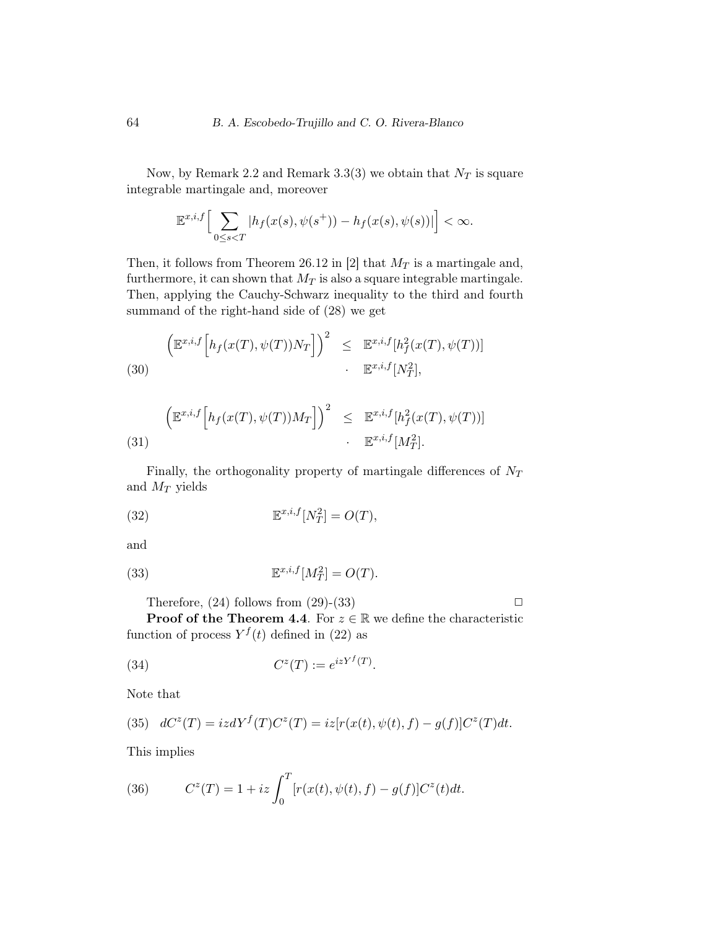Now, by Remark 2.2 and Remark 3.3(3) we obtain that  $N_T$  is square integrable martingale and, moreover

$$
\mathbb{E}^{x,i,f}\Big[\sum_{0\leq s
$$

Then, it follows from Theorem 26.12 in [2] that  $M_T$  is a martingale and, furthermore, it can shown that  $M_T$  is also a square integrable martingale. Then, applying the Cauchy-Schwarz inequality to the third and fourth summand of the right-hand side of (28) we get

(30)  

$$
\left(\mathbb{E}^{x,i,f}\left[h_f(x(T),\psi(T))N_T\right]\right)^2 \leq \mathbb{E}^{x,i,f}[h_f^2(x(T),\psi(T))]
$$

$$
\mathbb{E}^{x,i,f}[N_T^2],
$$

(31) 
$$
\left(\mathbb{E}^{x,i,f}\left[h_f(x(T),\psi(T))M_T\right]\right)^2 \leq \mathbb{E}^{x,i,f}[h_f^2(x(T),\psi(T))]
$$

$$
\cdot \mathbb{E}^{x,i,f}[M_T^2].
$$

Finally, the orthogonality property of martingale differences of  $N_T$ and  $M_T$  yields

(32) 
$$
\mathbb{E}^{x,i,f}[N_T^2] = O(T),
$$

and

(33) 
$$
\mathbb{E}^{x,i,f}[M_T^2] = O(T).
$$

Therefore,  $(24)$  follows from  $(29)-(33)$ 

**Proof of the Theorem 4.4.** For  $z \in \mathbb{R}$  we define the characteristic function of process  $Y^{f}(t)$  defined in (22) as

(34) 
$$
C^z(T) := e^{izY^f(T)}.
$$

Note that

(35) 
$$
dC^{z}(T) = izdY^{f}(T)C^{z}(T) = iz[r(x(t), \psi(t), f) - g(f)]C^{z}(T)dt.
$$

This implies

(36) 
$$
C^{z}(T) = 1 + iz \int_{0}^{T} [r(x(t), \psi(t), f) - g(f)] C^{z}(t) dt.
$$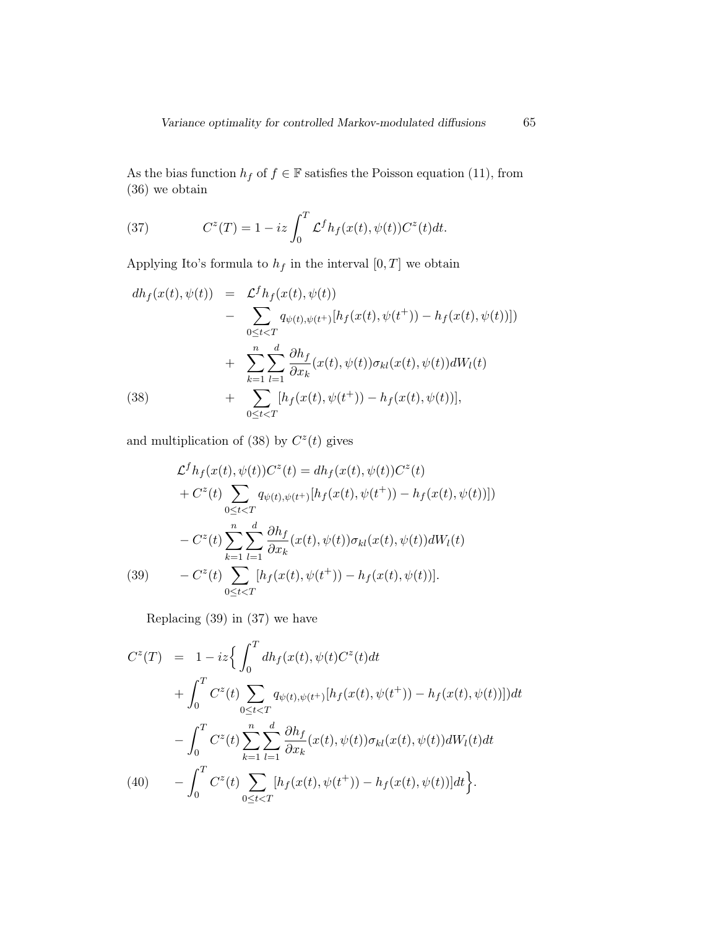As the bias function  $h_f$  of  $f \in \mathbb{F}$  satisfies the Poisson equation (11), from (36) we obtain

(37) 
$$
C^{z}(T) = 1 - iz \int_{0}^{T} \mathcal{L}^{f} h_{f}(x(t), \psi(t)) C^{z}(t) dt.
$$

Applying Ito's formula to  $h_f$  in the interval  $[0,T]$  we obtain

$$
dh_f(x(t), \psi(t)) = \mathcal{L}^f h_f(x(t), \psi(t))
$$
  
- 
$$
\sum_{0 \le t < T} q_{\psi(t), \psi(t^+)}[h_f(x(t), \psi(t^+)) - h_f(x(t), \psi(t))])
$$
  
+ 
$$
\sum_{k=1}^n \sum_{l=1}^d \frac{\partial h_f}{\partial x_k}(x(t), \psi(t)) \sigma_{kl}(x(t), \psi(t)) dW_l(t)
$$
  
(38) + 
$$
\sum_{0 \le t < T} [h_f(x(t), \psi(t^+)) - h_f(x(t), \psi(t))],
$$

and multiplication of (38) by  $C<sup>z</sup>(t)$  gives

(39) 
$$
\mathcal{L}^{f} h_{f}(x(t), \psi(t)) C^{z}(t) = dh_{f}(x(t), \psi(t)) C^{z}(t) \n+ C^{z}(t) \sum_{0 \leq t < T} q_{\psi(t), \psi(t^{+})}[h_{f}(x(t), \psi(t^{+})) - h_{f}(x(t), \psi(t))]) \n- C^{z}(t) \sum_{k=1}^{n} \sum_{l=1}^{d} \frac{\partial h_{f}}{\partial x_{k}}(x(t), \psi(t)) \sigma_{kl}(x(t), \psi(t)) dW_{l}(t) \n- C^{z}(t) \sum_{0 \leq t < T} [h_{f}(x(t), \psi(t^{+})) - h_{f}(x(t), \psi(t))].
$$

Replacing (39) in (37) we have

$$
C^{z}(T) = 1 - iz \Big\{ \int_{0}^{T} dh_{f}(x(t), \psi(t)C^{z}(t)dt + \int_{0}^{T} C^{z}(t) \sum_{0 \leq t < T} q_{\psi(t), \psi(t^{+})}[h_{f}(x(t), \psi(t^{+})) - h_{f}(x(t), \psi(t))]] dt - \int_{0}^{T} C^{z}(t) \sum_{k=1}^{n} \sum_{l=1}^{d} \frac{\partial h_{f}}{\partial x_{k}} (x(t), \psi(t)) \sigma_{kl}(x(t), \psi(t)) dW_{l}(t) dt - \int_{0}^{T} C^{z}(t) \sum_{0 \leq t < T} [h_{f}(x(t), \psi(t^{+})) - h_{f}(x(t), \psi(t))] dt \Big\}.
$$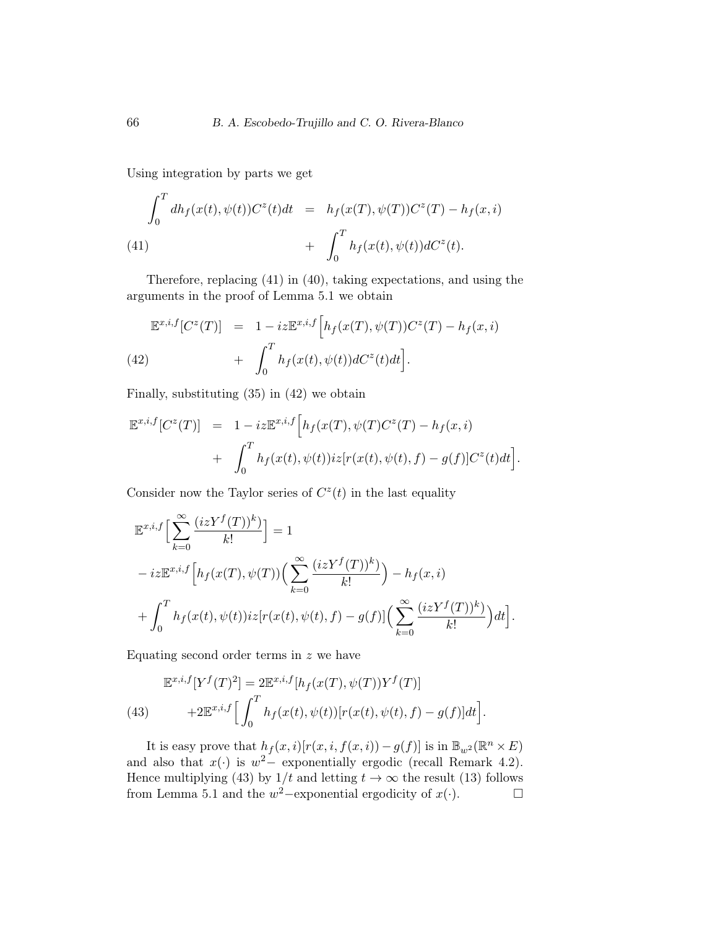Using integration by parts we get

(41)  
\n
$$
\int_0^T dh_f(x(t), \psi(t))C^z(t)dt = h_f(x(T), \psi(T))C^z(T) - h_f(x, i)
$$
\n
$$
+ \int_0^T h_f(x(t), \psi(t))dC^z(t).
$$

Therefore, replacing (41) in (40), taking expectations, and using the arguments in the proof of Lemma 5.1 we obtain

$$
\mathbb{E}^{x,i,f}[C^z(T)] = 1 - iz\mathbb{E}^{x,i,f}\Big[h_f(x(T),\psi(T))C^z(T) - h_f(x,i) + \int_0^T h_f(x(t),\psi(t))dC^z(t)dt\Big].
$$
\n(42)

Finally, substituting (35) in (42) we obtain

$$
\mathbb{E}^{x,i,f}[C^z(T)] = 1 - iz\mathbb{E}^{x,i,f}\Big[h_f(x(T), \psi(T)C^z(T) - h_f(x,i) + \int_0^T h_f(x(t), \psi(t))iz[r(x(t), \psi(t), f) - g(f)]C^z(t)dt\Big].
$$

Consider now the Taylor series of  $C<sup>z</sup>(t)$  in the last equality

$$
\mathbb{E}^{x,i,f}\Big[\sum_{k=0}^{\infty}\frac{(izY^f(T))^k}{k!}\Big] = 1
$$
  

$$
-iz\mathbb{E}^{x,i,f}\Big[h_f(x(T),\psi(T))\Big(\sum_{k=0}^{\infty}\frac{(izY^f(T))^k}{k!}\Big) - h_f(x,i)
$$
  

$$
+ \int_0^T h_f(x(t),\psi(t))iz[r(x(t),\psi(t),f) - g(f)]\Big(\sum_{k=0}^{\infty}\frac{(izY^f(T))^k}{k!}\Big)dt\Big].
$$

Equating second order terms in  $z$  we have

(43) 
$$
\mathbb{E}^{x,i,f}[Y^f(T)^2] = 2\mathbb{E}^{x,i,f}[h_f(x(T), \psi(T))Y^f(T)] + 2\mathbb{E}^{x,i,f}\Big[\int_0^T h_f(x(t), \psi(t))[r(x(t), \psi(t), f) - g(f)]dt\Big].
$$

It is easy prove that  $h_f(x,i)[r(x,i,f(x,i)) - g(f)]$  is in  $\mathbb{B}_{w^2}(\mathbb{R}^n \times E)$ and also that  $x(\cdot)$  is  $w^2$  exponentially ergodic (recall Remark 4.2). Hence multiplying (43) by  $1/t$  and letting  $t \to \infty$  the result (13) follows from Lemma 5.1 and the  $w^2$ -exponential ergodicity of  $x(\cdot)$ .  $\Box$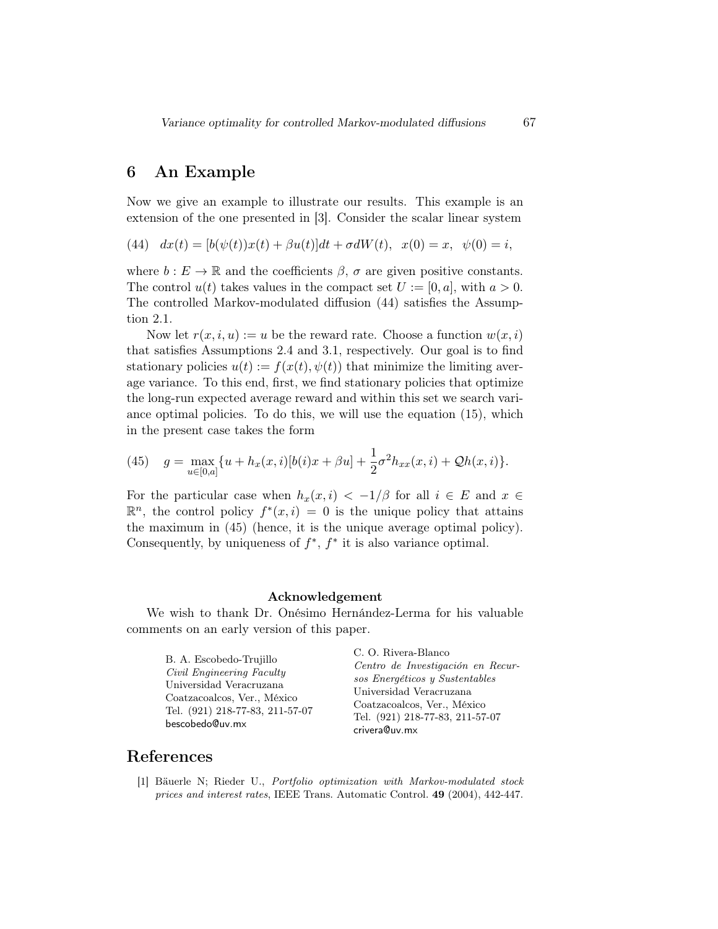# 6 An Example

Now we give an example to illustrate our results. This example is an extension of the one presented in [3]. Consider the scalar linear system

(44)  $dx(t) = [b(\psi(t))x(t) + \beta u(t)]dt + \sigma dW(t), \quad x(0) = x, \quad \psi(0) = i,$ 

where  $b: E \to \mathbb{R}$  and the coefficients  $\beta$ ,  $\sigma$  are given positive constants. The control  $u(t)$  takes values in the compact set  $U := [0, a]$ , with  $a > 0$ . The controlled Markov-modulated diffusion (44) satisfies the Assumption 2.1.

Now let  $r(x, i, u) := u$  be the reward rate. Choose a function  $w(x, i)$ that satisfies Assumptions 2.4 and 3.1, respectively. Our goal is to find stationary policies  $u(t) := f(x(t), \psi(t))$  that minimize the limiting average variance. To this end, first, we find stationary policies that optimize the long-run expected average reward and within this set we search variance optimal policies. To do this, we will use the equation (15), which in the present case takes the form

(45) 
$$
g = \max_{u \in [0,a]} \{u + h_x(x,i)[b(i)x + \beta u] + \frac{1}{2}\sigma^2 h_{xx}(x,i) + \mathcal{Q}h(x,i)\}.
$$

For the particular case when  $h_x(x, i) < -1/\beta$  for all  $i \in E$  and  $x \in$  $\mathbb{R}^n$ , the control policy  $f^*(x, i) = 0$  is the unique policy that attains the maximum in (45) (hence, it is the unique average optimal policy). Consequently, by uniqueness of  $f^*$ ,  $f^*$  it is also variance optimal.

#### Acknowledgement

We wish to thank Dr. Onésimo Hernández-Lerma for his valuable comments on an early version of this paper.

B. A. Escobedo-Trujillo Civil Engineering Faculty Universidad Veracruzana Coatzacoalcos, Ver., México Tel. (921) 218-77-83, 211-57-07 bescobedo@uv.mx

C. O. Rivera-Blanco Centro de Investigación en Recursos Energéticos y Sustentables Universidad Veracruzana Coatzacoalcos, Ver., México Tel. (921) 218-77-83, 211-57-07 crivera@uv.mx

## References

[1] Bäuerle N; Rieder U., Portfolio optimization with Markov-modulated stock prices and interest rates, IEEE Trans. Automatic Control. 49 (2004), 442-447.